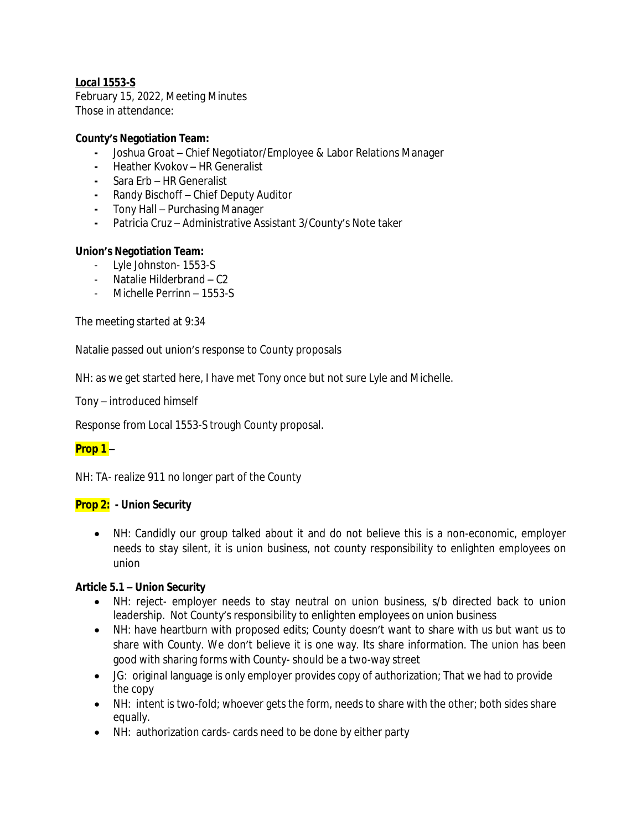# *Local 1553-S*

February 15, 2022, Meeting Minutes Those in attendance:

### **County's Negotiation Team:**

- **-** Joshua Groat Chief Negotiator/Employee & Labor Relations Manager
- **-** Heather Kvokov HR Generalist
- **-** Sara Erb HR Generalist
- **-** Randy Bischoff Chief Deputy Auditor
- **-** Tony Hall Purchasing Manager
- **-** Patricia Cruz Administrative Assistant 3/County's Note taker

### **Union's Negotiation Team:**

- Lyle Johnston- 1553-S
- Natalie Hilderbrand C2
- Michelle Perrinn 1553-S

The meeting started at 9:34

Natalie passed out union's response to County proposals

NH: as we get started here, I have met Tony once but not sure Lyle and Michelle.

Tony – introduced himself

Response from Local 1553-S trough County proposal.

# **Prop 1 –**

NH: TA- realize 911 no longer part of the County

### **Prop 2: - Union Security**

 NH: Candidly our group talked about it and do not believe this is a non-economic, employer needs to stay silent, it is union business, not county responsibility to enlighten employees on union

### **Article 5.1 – Union Security**

- NH: reject- employer needs to stay neutral on union business, s/b directed back to union leadership. Not County's responsibility to enlighten employees on union business
- NH: have heartburn with proposed edits; County doesn't want to share with us but want us to share with County. We don't believe it is one way. Its share information. The union has been good with sharing forms with County- should be a two-way street
- JG: original language is only employer provides copy of authorization; That we had to provide the copy
- NH: intent is two-fold; whoever gets the form, needs to share with the other; both sides share equally.
- NH: authorization cards- cards need to be done by either party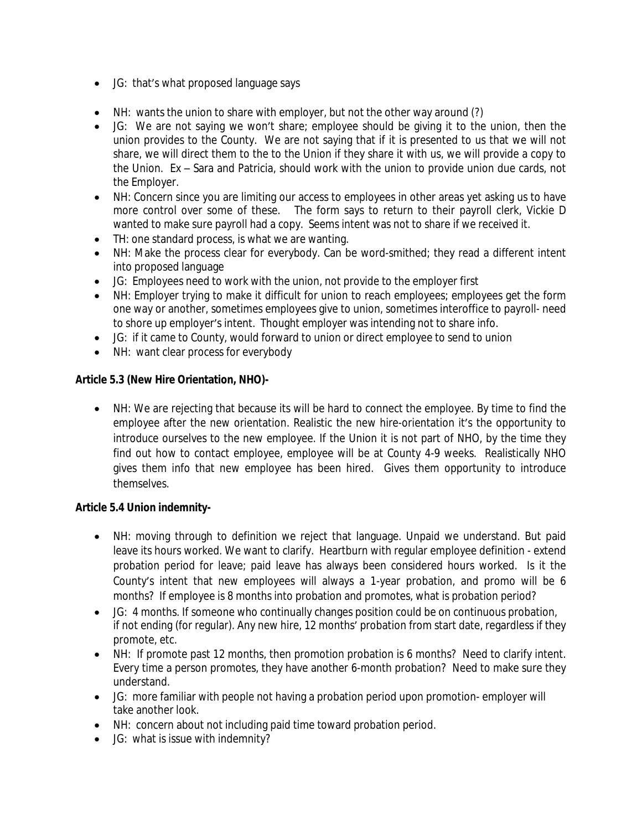- JG: that's what proposed language says
- NH: wants the union to share with employer, but not the other way around (?)
- JG: We are not saying we won't share; employee should be giving it to the union, then the union provides to the County. We are not saying that if it is presented to us that we will not share, we will direct them to the to the Union if they share it with us, we will provide a copy to the Union. Ex – Sara and Patricia, should work with the union to provide union due cards, not the Employer.
- NH: Concern since you are limiting our access to employees in other areas yet asking us to have more control over some of these. The form says to return to their payroll clerk, Vickie D wanted to make sure payroll had a copy. Seems intent was not to share if we received it.
- TH: one standard process, is what we are wanting.
- NH: Make the process clear for everybody. Can be word-smithed; they read a different intent into proposed language
- JG: Employees need to work with the union, not provide to the employer first
- NH: Employer trying to make it difficult for union to reach employees; employees get the form one way or another, sometimes employees give to union, sometimes interoffice to payroll- need to shore up employer's intent. Thought employer was intending not to share info.
- JG: if it came to County, would forward to union or direct employee to send to union
- NH: want clear process for everybody

# **Article 5.3 (New Hire Orientation, NHO)-**

 NH: We are rejecting that because its will be hard to connect the employee. By time to find the employee after the new orientation. Realistic the new hire-orientation it's the opportunity to introduce ourselves to the new employee. If the Union it is not part of NHO, by the time they find out how to contact employee, employee will be at County 4-9 weeks. Realistically NHO gives them info that new employee has been hired. Gives them opportunity to introduce themselves.

# **Article 5.4 Union indemnity-**

- NH: moving through to definition we reject that language. Unpaid we understand. But paid leave its hours worked. We want to clarify. Heartburn with regular employee definition - extend probation period for leave; paid leave has always been considered hours worked. Is it the County's intent that new employees will always a 1-year probation, and promo will be 6 months? If employee is 8 months into probation and promotes, what is probation period?
- JG: 4 months. If someone who continually changes position could be on continuous probation, if not ending (for regular). Any new hire, 12 months' probation from start date, regardless if they promote, etc.
- NH: If promote past 12 months, then promotion probation is 6 months? Need to clarify intent. Every time a person promotes, they have another 6-month probation? Need to make sure they understand.
- JG: more familiar with people not having a probation period upon promotion- employer will take another look.
- NH: concern about not including paid time toward probation period.
- JG: what is issue with indemnity?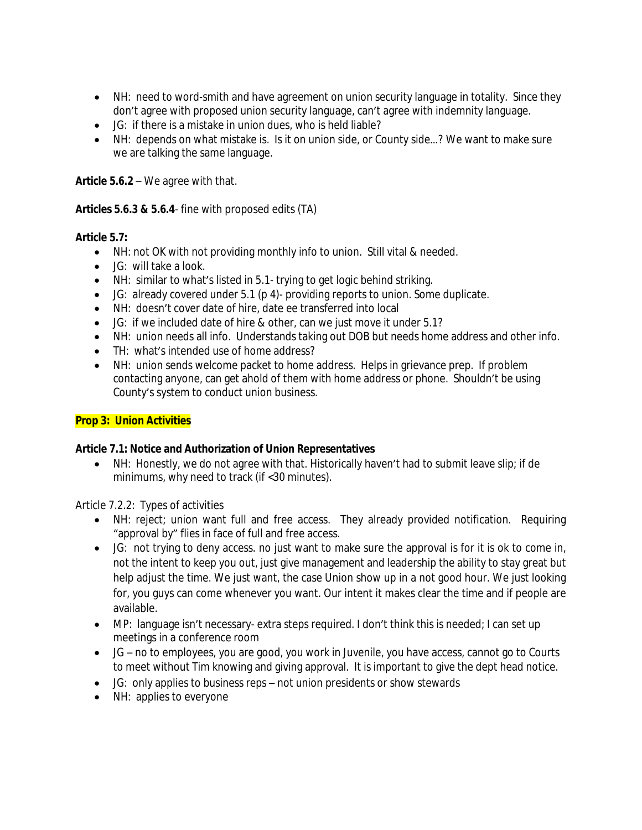- NH: need to word-smith and have agreement on union security language in totality. Since they don't agree with proposed union security language, can't agree with indemnity language.
- JG: if there is a mistake in union dues, who is held liable?
- NH: depends on what mistake is. Is it on union side, or County side…? We want to make sure we are talking the same language.

**Article 5.6.2** – We agree with that.

### **Articles 5.6.3 & 5.6.4**- fine with proposed edits (TA)

### **Article 5.7:**

- NH: not OK with not providing monthly info to union. Still vital & needed.
- JG: will take a look.
- NH: similar to what's listed in 5.1- trying to get logic behind striking.
- JG: already covered under 5.1 (p 4)- providing reports to union. Some duplicate.
- NH: doesn't cover date of hire, date ee transferred into local
- JG: if we included date of hire & other, can we just move it under 5.1?
- NH: union needs all info. Understands taking out DOB but needs home address and other info.
- TH: what's intended use of home address?
- NH: union sends welcome packet to home address. Helps in grievance prep. If problem contacting anyone, can get ahold of them with home address or phone. Shouldn't be using County's system to conduct union business.

# **Prop 3: Union Activities**

# **Article 7.1: Notice and Authorization of Union Representatives**

 NH: Honestly, we do not agree with that. Historically haven't had to submit leave slip; if de minimums, why need to track (if <30 minutes).

Article 7.2.2: Types of activities

- NH: reject; union want full and free access. They already provided notification. Requiring "approval by" flies in face of full and free access.
- JG: not trying to deny access. no just want to make sure the approval is for it is ok to come in, not the intent to keep you out, just give management and leadership the ability to stay great but help adjust the time. We just want, the case Union show up in a not good hour. We just looking for, you guys can come whenever you want. Our intent it makes clear the time and if people are available.
- MP: language isn't necessary- extra steps required. I don't think this is needed; I can set up meetings in a conference room
- JG no to employees, you are good, you work in Juvenile, you have access, cannot go to Courts to meet without Tim knowing and giving approval. It is important to give the dept head notice.
- JG: only applies to business reps not union presidents or show stewards
- NH: applies to everyone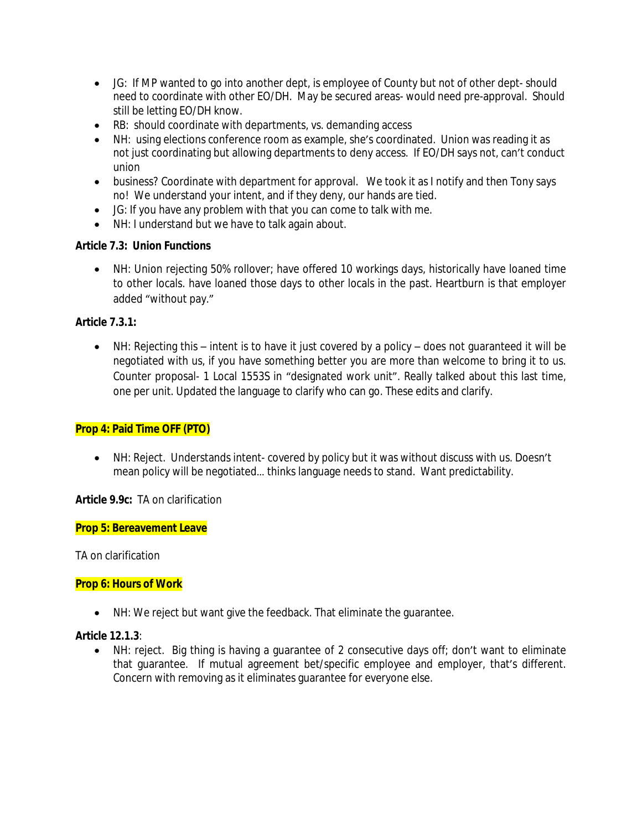- JG: If MP wanted to go into another dept, is employee of County but not of other dept- should need to coordinate with other EO/DH. May be secured areas- would need pre-approval. Should still be letting EO/DH know.
- RB: should coordinate with departments, vs. demanding access
- NH: using elections conference room as example, she's coordinated. Union was reading it as not just coordinating but allowing departments to deny access. If EO/DH says not, can't conduct union
- business? Coordinate with department for approval. We took it as I notify and then Tony says no! We understand your intent, and if they deny, our hands are tied.
- JG: If you have any problem with that you can come to talk with me.
- NH: I understand but we have to talk again about.

# **Article 7.3: Union Functions**

 NH: Union rejecting 50% rollover; have offered 10 workings days, historically have loaned time to other locals. have loaned those days to other locals in the past. Heartburn is that employer added "without pay."

# **Article 7.3.1:**

 NH: Rejecting this – intent is to have it just covered by a policy – does not guaranteed it will be negotiated with us, if you have something better you are more than welcome to bring it to us. Counter proposal- 1 Local 1553S in "designated work unit". Really talked about this last time, one per unit. Updated the language to clarify who can go. These edits and clarify.

# **Prop 4: Paid Time OFF (PTO)**

 NH: Reject. Understands intent- covered by policy but it was without discuss with us. Doesn't mean policy will be negotiated… thinks language needs to stand. Want predictability.

# **Article 9.9c:** TA on clarification

### **Prop 5: Bereavement Leave**

TA on clarification

# **Prop 6: Hours of Work**

NH: We reject but want give the feedback. That eliminate the guarantee.

### **Article 12.1.3**:

 NH: reject. Big thing is having a guarantee of 2 consecutive days off; don't want to eliminate that guarantee. If mutual agreement bet/specific employee and employer, that's different. Concern with removing as it eliminates guarantee for everyone else.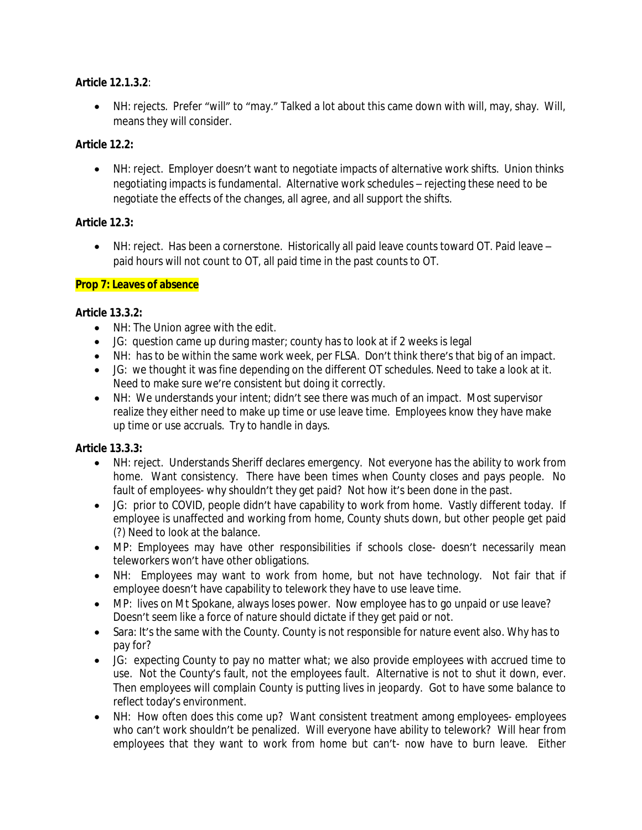### **Article 12.1.3.2**:

 NH: rejects. Prefer "will" to "may." Talked a lot about this came down with will, may, shay. Will, means they will consider.

### **Article 12.2:**

 NH: reject. Employer doesn't want to negotiate impacts of alternative work shifts. Union thinks negotiating impacts is fundamental. Alternative work schedules – rejecting these need to be negotiate the effects of the changes, all agree, and all support the shifts.

### **Article 12.3:**

 NH: reject. Has been a cornerstone. Historically all paid leave counts toward OT. Paid leave – paid hours will not count to OT, all paid time in the past counts to OT.

### **Prop 7: Leaves of absence**

### **Article 13.3.2:**

- NH: The Union agree with the edit.
- JG: question came up during master; county has to look at if 2 weeks is legal
- NH: has to be within the same work week, per FLSA. Don't think there's that big of an impact.
- JG: we thought it was fine depending on the different OT schedules. Need to take a look at it. Need to make sure we're consistent but doing it correctly.
- NH: We understands your intent; didn't see there was much of an impact. Most supervisor realize they either need to make up time or use leave time. Employees know they have make up time or use accruals. Try to handle in days.

# **Article 13.3.3:**

- NH: reject. Understands Sheriff declares emergency. Not everyone has the ability to work from home. Want consistency. There have been times when County closes and pays people. No fault of employees- why shouldn't they get paid? Not how it's been done in the past.
- JG: prior to COVID, people didn't have capability to work from home. Vastly different today. If employee is unaffected and working from home, County shuts down, but other people get paid (?) Need to look at the balance.
- MP: Employees may have other responsibilities if schools close- doesn't necessarily mean teleworkers won't have other obligations.
- NH: Employees may want to work from home, but not have technology. Not fair that if employee doesn't have capability to telework they have to use leave time.
- MP: lives on Mt Spokane, always loses power. Now employee has to go unpaid or use leave? Doesn't seem like a force of nature should dictate if they get paid or not.
- Sara: It's the same with the County. County is not responsible for nature event also. Why has to pay for?
- JG: expecting County to pay no matter what; we also provide employees with accrued time to use. Not the County's fault, not the employees fault. Alternative is not to shut it down, ever. Then employees will complain County is putting lives in jeopardy. Got to have some balance to reflect today's environment.
- NH: How often does this come up? Want consistent treatment among employees- employees who can't work shouldn't be penalized. Will everyone have ability to telework? Will hear from employees that they want to work from home but can't- now have to burn leave. Either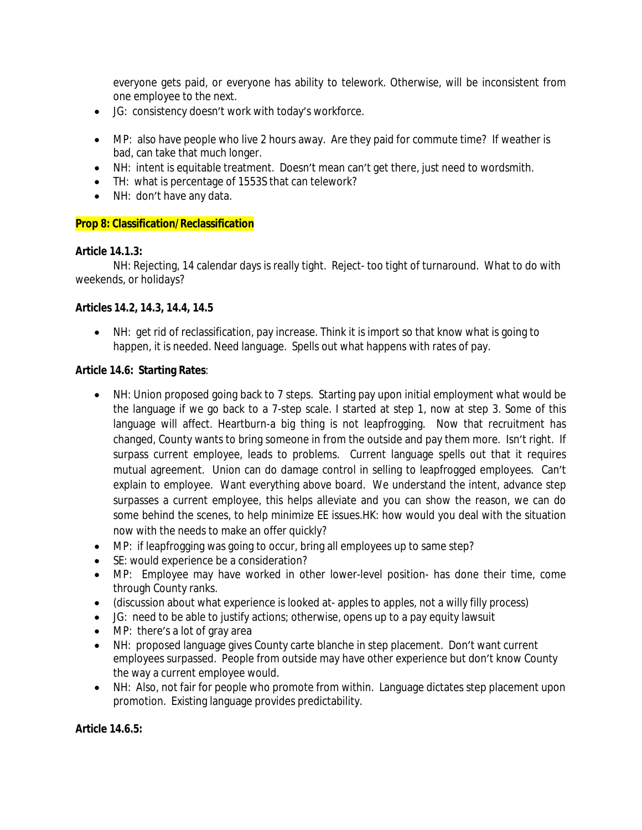everyone gets paid, or everyone has ability to telework. Otherwise, will be inconsistent from one employee to the next.

- JG: consistency doesn't work with today's workforce.
- MP: also have people who live 2 hours away. Are they paid for commute time? If weather is bad, can take that much longer.
- NH: intent is equitable treatment. Doesn't mean can't get there, just need to wordsmith.
- TH: what is percentage of 1553S that can telework?
- NH: don't have any data.

### **Prop 8: Classification/Reclassification**

#### **Article 14.1.3:**

NH: Rejecting, 14 calendar days is really tight. Reject- too tight of turnaround. What to do with weekends, or holidays?

### **Articles 14.2, 14.3, 14.4, 14.5**

 NH: get rid of reclassification, pay increase. Think it is import so that know what is going to happen, it is needed. Need language. Spells out what happens with rates of pay.

#### **Article 14.6: Starting Rates**:

- NH: Union proposed going back to 7 steps. Starting pay upon initial employment what would be the language if we go back to a 7-step scale. I started at step 1, now at step 3. Some of this language will affect. Heartburn-a big thing is not leapfrogging. Now that recruitment has changed, County wants to bring someone in from the outside and pay them more. Isn't right. If surpass current employee, leads to problems. Current language spells out that it requires mutual agreement. Union can do damage control in selling to leapfrogged employees. Can't explain to employee. Want everything above board. We understand the intent, advance step surpasses a current employee, this helps alleviate and you can show the reason, we can do some behind the scenes, to help minimize EE issues.HK: how would you deal with the situation now with the needs to make an offer quickly?
- MP: if leapfrogging was going to occur, bring all employees up to same step?
- SE: would experience be a consideration?
- MP: Employee may have worked in other lower-level position- has done their time, come through County ranks.
- (discussion about what experience is looked at- apples to apples, not a willy filly process)
- JG: need to be able to justify actions; otherwise, opens up to a pay equity lawsuit
- MP: there's a lot of gray area
- NH: proposed language gives County carte blanche in step placement. Don't want current employees surpassed. People from outside may have other experience but don't know County the way a current employee would.
- NH: Also, not fair for people who promote from within. Language dictates step placement upon promotion. Existing language provides predictability.

#### **Article 14.6.5:**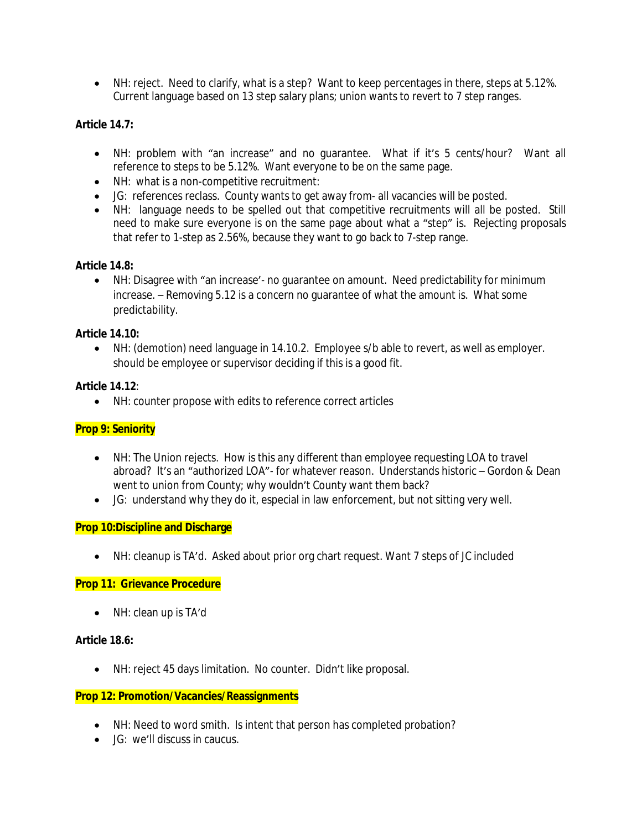NH: reject. Need to clarify, what is a step? Want to keep percentages in there, steps at 5.12%. Current language based on 13 step salary plans; union wants to revert to 7 step ranges.

### **Article 14.7:**

- NH: problem with "an increase" and no guarantee. What if it's 5 cents/hour? Want all reference to steps to be 5.12%. Want everyone to be on the same page.
- NH: what is a non-competitive recruitment:
- JG: references reclass. County wants to get away from- all vacancies will be posted.
- NH: language needs to be spelled out that competitive recruitments will all be posted. Still need to make sure everyone is on the same page about what a "step" is. Rejecting proposals that refer to 1-step as 2.56%, because they want to go back to 7-step range.

### **Article 14.8:**

 NH: Disagree with "an increase'- no guarantee on amount. Need predictability for minimum increase. – Removing 5.12 is a concern no guarantee of what the amount is. What some predictability.

### **Article 14.10:**

 NH: (demotion) need language in 14.10.2. Employee s/b able to revert, as well as employer. should be employee or supervisor deciding if this is a good fit.

### **Article 14.12**:

NH: counter propose with edits to reference correct articles

# **Prop 9: Seniority**

- NH: The Union rejects. How is this any different than employee requesting LOA to travel abroad? It's an "authorized LOA"- for whatever reason. Understands historic – Gordon & Dean went to union from County; why wouldn't County want them back?
- JG: understand why they do it, especial in law enforcement, but not sitting very well.

### **Prop 10:Discipline and Discharge**

NH: cleanup is TA'd. Asked about prior org chart request. Want 7 steps of JC included

### **Prop 11: Grievance Procedure**

• NH: clean up is TA'd

### **Article 18.6:**

NH: reject 45 days limitation. No counter. Didn't like proposal.

### **Prop 12: Promotion/Vacancies/Reassignments**

- NH: Need to word smith. Is intent that person has completed probation?
- JG: we'll discuss in caucus.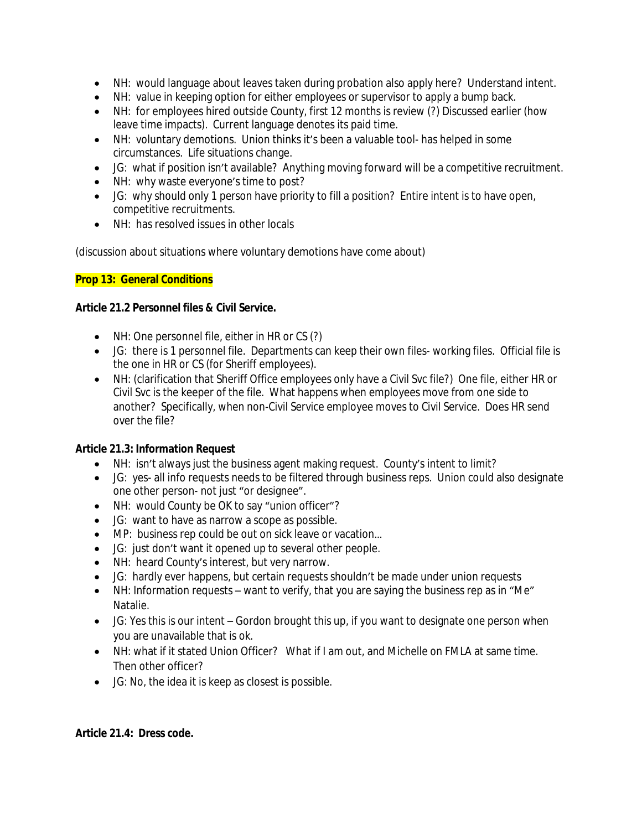- NH: would language about leaves taken during probation also apply here? Understand intent.
- NH: value in keeping option for either employees or supervisor to apply a bump back.
- NH: for employees hired outside County, first 12 months is review (?) Discussed earlier (how leave time impacts). Current language denotes its paid time.
- NH: voluntary demotions. Union thinks it's been a valuable tool- has helped in some circumstances. Life situations change.
- JG: what if position isn't available? Anything moving forward will be a competitive recruitment.
- NH: why waste everyone's time to post?
- JG: why should only 1 person have priority to fill a position? Entire intent is to have open, competitive recruitments.
- NH: has resolved issues in other locals

(discussion about situations where voluntary demotions have come about)

# **Prop 13: General Conditions**

### **Article 21.2 Personnel files & Civil Service.**

- NH: One personnel file, either in HR or CS (?)
- JG: there is 1 personnel file. Departments can keep their own files- working files. Official file is the one in HR or CS (for Sheriff employees).
- NH: (clarification that Sheriff Office employees only have a Civil Svc file?) One file, either HR or Civil Svc is the keeper of the file. What happens when employees move from one side to another? Specifically, when non-Civil Service employee moves to Civil Service. Does HR send over the file?

# **Article 21.3: Information Request**

- NH: isn't always just the business agent making request. County's intent to limit?
- JG: yes- all info requests needs to be filtered through business reps. Union could also designate one other person- not just "or designee".
- NH: would County be OK to say "union officer"?
- JG: want to have as narrow a scope as possible.
- MP: business rep could be out on sick leave or vacation...
- JG: just don't want it opened up to several other people.
- NH: heard County's interest, but very narrow.
- JG: hardly ever happens, but certain requests shouldn't be made under union requests
- NH: Information requests want to verify, that you are saying the business rep as in "Me" Natalie.
- JG: Yes this is our intent Gordon brought this up, if you want to designate one person when you are unavailable that is ok.
- NH: what if it stated Union Officer? What if I am out, and Michelle on FMLA at same time. Then other officer?
- JG: No, the idea it is keep as closest is possible.

# **Article 21.4: Dress code.**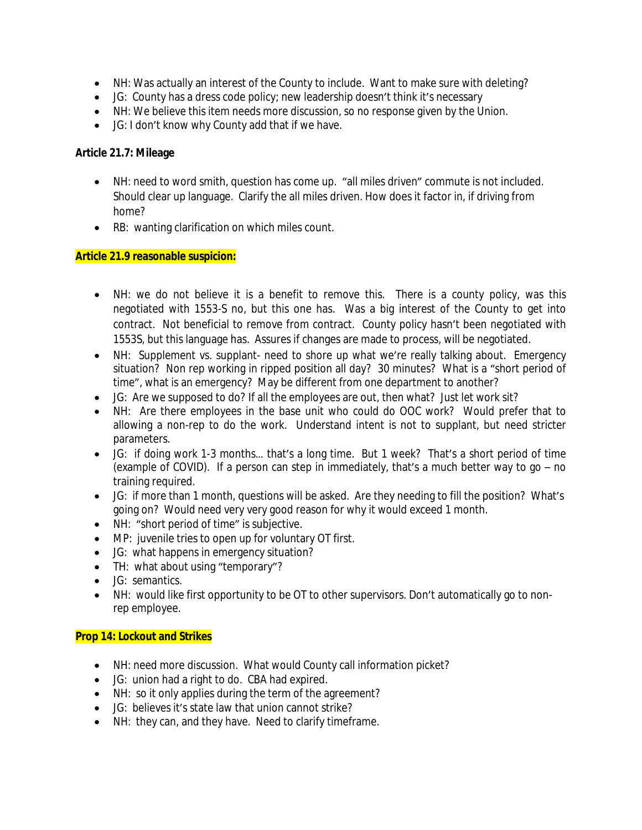- NH: Was actually an interest of the County to include. Want to make sure with deleting?
- JG: County has a dress code policy; new leadership doesn't think it's necessary
- NH: We believe this item needs more discussion, so no response given by the Union.
- JG: I don't know why County add that if we have.

### **Article 21.7: Mileage**

- NH: need to word smith, question has come up. "all miles driven" commute is not included. Should clear up language. Clarify the all miles driven. How does it factor in, if driving from home?
- RB: wanting clarification on which miles count.

### **Article 21.9 reasonable suspicion:**

- NH: we do not believe it is a benefit to remove this. There is a county policy, was this negotiated with 1553-S no, but this one has. Was a big interest of the County to get into contract. Not beneficial to remove from contract. County policy hasn't been negotiated with 1553S, but this language has. Assures if changes are made to process, will be negotiated.
- NH: Supplement vs. supplant- need to shore up what we're really talking about. Emergency situation? Non rep working in ripped position all day? 30 minutes? What is a "short period of time", what is an emergency? May be different from one department to another?
- JG: Are we supposed to do? If all the employees are out, then what? Just let work sit?
- NH: Are there employees in the base unit who could do OOC work? Would prefer that to allowing a non-rep to do the work. Understand intent is not to supplant, but need stricter parameters.
- JG: if doing work 1-3 months… that's a long time. But 1 week? That's a short period of time (example of COVID). If a person can step in immediately, that's a much better way to go – no training required.
- JG: if more than 1 month, questions will be asked. Are they needing to fill the position? What's going on? Would need very very good reason for why it would exceed 1 month.
- NH: "short period of time" is subjective.
- MP: juvenile tries to open up for voluntary OT first.
- JG: what happens in emergency situation?
- TH: what about using "temporary"?
- JG: semantics.
- NH: would like first opportunity to be OT to other supervisors. Don't automatically go to nonrep employee.

### **Prop 14: Lockout and Strikes**

- NH: need more discussion. What would County call information picket?
- JG: union had a right to do. CBA had expired.
- NH: so it only applies during the term of the agreement?
- JG: believes it's state law that union cannot strike?
- NH: they can, and they have. Need to clarify timeframe.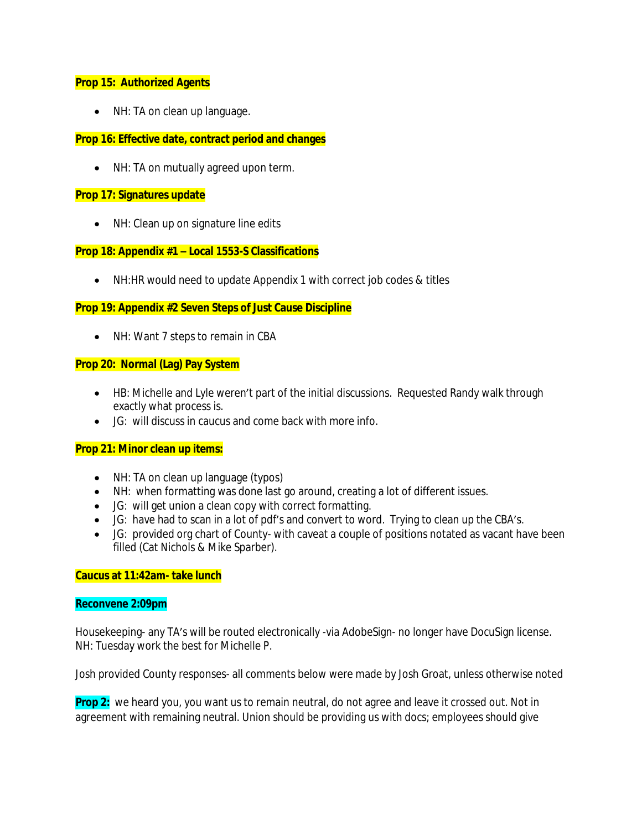### **Prop 15: Authorized Agents**

• NH: TA on clean up language.

### **Prop 16: Effective date, contract period and changes**

• NH: TA on mutually agreed upon term.

#### **Prop 17: Signatures update**

• NH: Clean up on signature line edits

### **Prop 18: Appendix #1 – Local 1553-S Classifications**

• NH:HR would need to update Appendix 1 with correct job codes & titles

### **Prop 19: Appendix #2 Seven Steps of Just Cause Discipline**

• NH: Want 7 steps to remain in CBA

#### **Prop 20: Normal (Lag) Pay System**

- HB: Michelle and Lyle weren't part of the initial discussions. Requested Randy walk through exactly what process is.
- JG: will discuss in caucus and come back with more info.

#### **Prop 21: Minor clean up items:**

- NH: TA on clean up language (typos)
- NH: when formatting was done last go around, creating a lot of different issues.
- JG: will get union a clean copy with correct formatting.
- JG: have had to scan in a lot of pdf's and convert to word. Trying to clean up the CBA's.
- JG: provided org chart of County- with caveat a couple of positions notated as vacant have been filled (Cat Nichols & Mike Sparber).

#### **Caucus at 11:42am- take lunch**

#### **Reconvene 2:09pm**

Housekeeping- any TA's will be routed electronically -via AdobeSign- no longer have DocuSign license. NH: Tuesday work the best for Michelle P.

Josh provided County responses- all comments below were made by Josh Groat, unless otherwise noted

**Prop 2:** we heard you, you want us to remain neutral, do not agree and leave it crossed out. Not in agreement with remaining neutral. Union should be providing us with docs; employees should give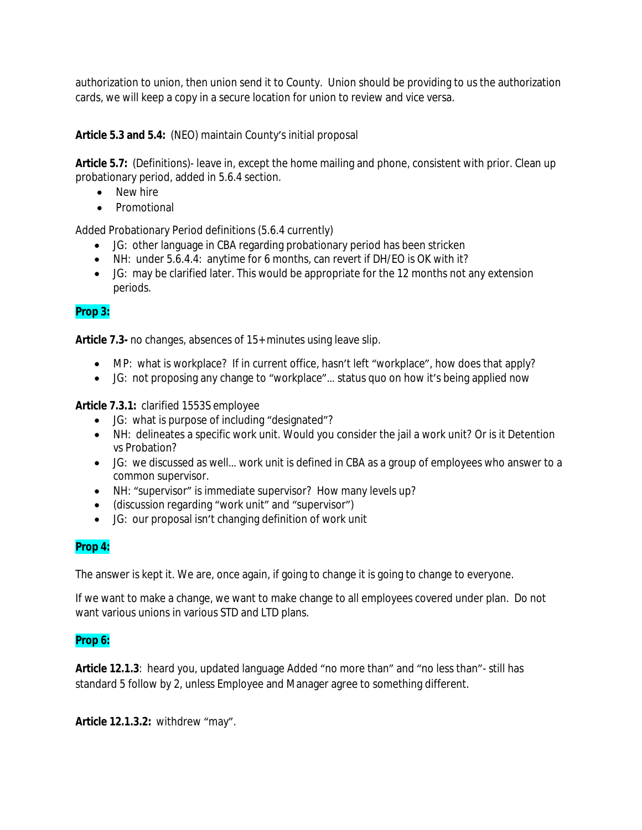authorization to union, then union send it to County. Union should be providing to us the authorization cards, we will keep a copy in a secure location for union to review and vice versa.

**Article 5.3 and 5.4:** (NEO) maintain County's initial proposal

**Article 5.7:** (Definitions)- leave in, except the home mailing and phone, consistent with prior. Clean up probationary period, added in 5.6.4 section.

- New hire
- Promotional

Added Probationary Period definitions (5.6.4 currently)

- JG: other language in CBA regarding probationary period has been stricken
- NH: under 5.6.4.4: anytime for 6 months, can revert if DH/EO is OK with it?
- JG: may be clarified later. This would be appropriate for the 12 months not any extension periods.

# **Prop 3:**

**Article 7.3-** no changes, absences of 15+ minutes using leave slip.

- MP: what is workplace? If in current office, hasn't left "workplace", how does that apply?
- JG: not proposing any change to "workplace"… status quo on how it's being applied now

**Article 7.3.1:** clarified 1553S employee

- JG: what is purpose of including "designated"?
- NH: delineates a specific work unit. Would you consider the jail a work unit? Or is it Detention vs Probation?
- JG: we discussed as well… work unit is defined in CBA as a group of employees who answer to a common supervisor.
- NH: "supervisor" is immediate supervisor? How many levels up?
- (discussion regarding "work unit" and "supervisor")
- JG: our proposal isn't changing definition of work unit

# **Prop 4:**

The answer is kept it. We are, once again, if going to change it is going to change to everyone.

If we want to make a change, we want to make change to all employees covered under plan. Do not want various unions in various STD and LTD plans.

# **Prop 6:**

**Article 12.1.3**: heard you, updated language Added "no more than" and "no less than"- still has standard 5 follow by 2, unless Employee and Manager agree to something different.

**Article 12.1.3.2:** withdrew "may".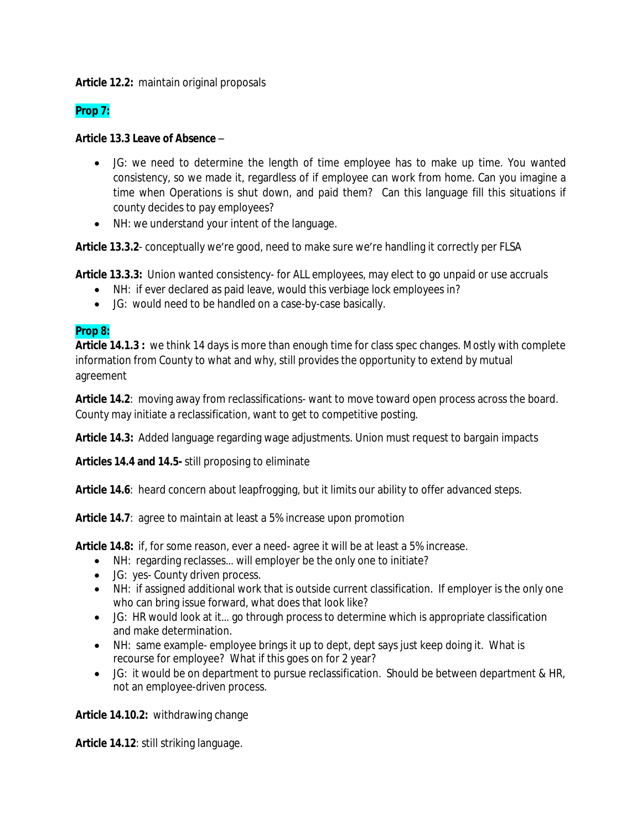**Article 12.2:** maintain original proposals

# **Prop 7:**

### **Article 13.3 Leave of Absence** –

- JG: we need to determine the length of time employee has to make up time. You wanted consistency, so we made it, regardless of if employee can work from home. Can you imagine a time when Operations is shut down, and paid them? Can this language fill this situations if county decides to pay employees?
- NH: we understand your intent of the language.

**Article 13.3.2**- conceptually we're good, need to make sure we're handling it correctly per FLSA

**Article 13.3.3:** Union wanted consistency- for ALL employees, may elect to go unpaid or use accruals

- NH: if ever declared as paid leave, would this verbiage lock employees in?
	- JG: would need to be handled on a case-by-case basically.

### **Prop 8:**

**Article 14.1.3 :** we think 14 days is more than enough time for class spec changes. Mostly with complete information from County to what and why, still provides the opportunity to extend by mutual agreement

**Article 14.2**: moving away from reclassifications- want to move toward open process across the board. County may initiate a reclassification, want to get to competitive posting.

**Article 14.3:** Added language regarding wage adjustments. Union must request to bargain impacts

**Articles 14.4 and 14.5-** still proposing to eliminate

Article 14.6: heard concern about leapfrogging, but it limits our ability to offer advanced steps.

**Article 14.7**: agree to maintain at least a 5% increase upon promotion

**Article 14.8:** if, for some reason, ever a need- agree it will be at least a 5% increase.

- NH: regarding reclasses... will employer be the only one to initiate?
- JG: yes- County driven process.
- NH: if assigned additional work that is outside current classification. If employer is the only one who can bring issue forward, what does that look like?
- JG: HR would look at it… go through process to determine which is appropriate classification and make determination.
- NH: same example- employee brings it up to dept, dept says just keep doing it. What is recourse for employee? What if this goes on for 2 year?
- JG: it would be on department to pursue reclassification. Should be between department & HR, not an employee-driven process.

**Article 14.10.2:** withdrawing change

**Article 14.12**: still striking language.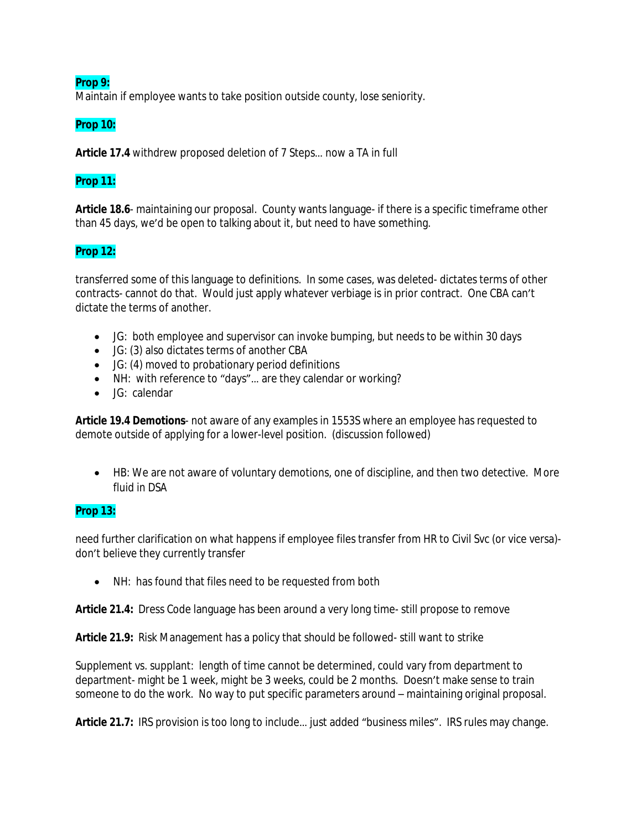### **Prop 9:**

Maintain if employee wants to take position outside county, lose seniority.

### **Prop 10:**

**Article 17.4** withdrew proposed deletion of 7 Steps… now a TA in full

### **Prop 11:**

**Article 18.6**- maintaining our proposal. County wants language- if there is a specific timeframe other than 45 days, we'd be open to talking about it, but need to have something.

# **Prop 12:**

transferred some of this language to definitions. In some cases, was deleted- dictates terms of other contracts- cannot do that. Would just apply whatever verbiage is in prior contract. One CBA can't dictate the terms of another.

- JG: both employee and supervisor can invoke bumping, but needs to be within 30 days
- JG: (3) also dictates terms of another CBA
- JG: (4) moved to probationary period definitions
- NH: with reference to "days"... are they calendar or working?
- JG: calendar

**Article 19.4 Demotions**- not aware of any examples in 1553S where an employee has requested to demote outside of applying for a lower-level position. (discussion followed)

 HB: We are not aware of voluntary demotions, one of discipline, and then two detective. More fluid in DSA

### **Prop 13:**

need further clarification on what happens if employee files transfer from HR to Civil Svc (or vice versa) don't believe they currently transfer

NH: has found that files need to be requested from both

**Article 21.4:** Dress Code language has been around a very long time- still propose to remove

**Article 21.9:** Risk Management has a policy that should be followed- still want to strike

Supplement vs. supplant: length of time cannot be determined, could vary from department to department- might be 1 week, might be 3 weeks, could be 2 months. Doesn't make sense to train someone to do the work. No way to put specific parameters around – maintaining original proposal.

**Article 21.7:** IRS provision is too long to include… just added "business miles". IRS rules may change.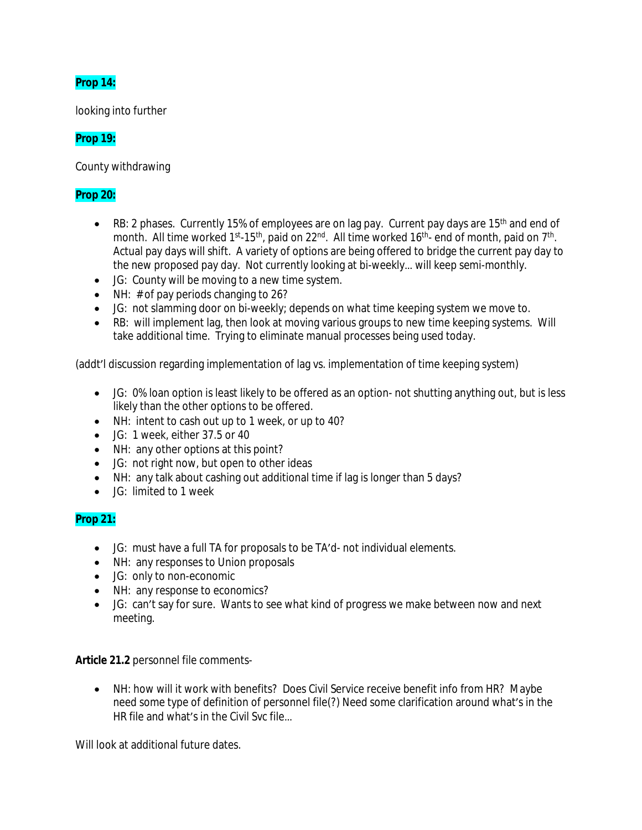# **Prop 14:**

looking into further

# **Prop 19:**

County withdrawing

# **Prop 20:**

- **•** RB: 2 phases. Currently 15% of employees are on lag pay. Current pay days are 15<sup>th</sup> and end of month. All time worked 1<sup>st</sup>-15<sup>th</sup>, paid on 22<sup>nd</sup>. All time worked 16<sup>th</sup>- end of month, paid on 7<sup>th</sup>. Actual pay days will shift. A variety of options are being offered to bridge the current pay day to the new proposed pay day. Not currently looking at bi-weekly… will keep semi-monthly.
- JG: County will be moving to a new time system.
- $\bullet$  NH:  $\#$  of pay periods changing to 26?
- JG: not slamming door on bi-weekly; depends on what time keeping system we move to.
- RB: will implement lag, then look at moving various groups to new time keeping systems. Will take additional time. Trying to eliminate manual processes being used today.

(addt'l discussion regarding implementation of lag vs. implementation of time keeping system)

- JG: 0% loan option is least likely to be offered as an option- not shutting anything out, but is less likely than the other options to be offered.
- NH: intent to cash out up to 1 week, or up to 40?
- JG: 1 week, either 37.5 or 40
- NH: any other options at this point?
- JG: not right now, but open to other ideas
- NH: any talk about cashing out additional time if lag is longer than 5 days?
- JG: limited to 1 week

# **Prop 21:**

- JG: must have a full TA for proposals to be TA'd- not individual elements.
- NH: any responses to Union proposals
- JG: only to non-economic
- NH: any response to economics?
- JG: can't say for sure. Wants to see what kind of progress we make between now and next meeting.

**Article 21.2** personnel file comments-

 NH: how will it work with benefits? Does Civil Service receive benefit info from HR? Maybe need some type of definition of personnel file(?) Need some clarification around what's in the HR file and what's in the Civil Svc file…

Will look at additional future dates.